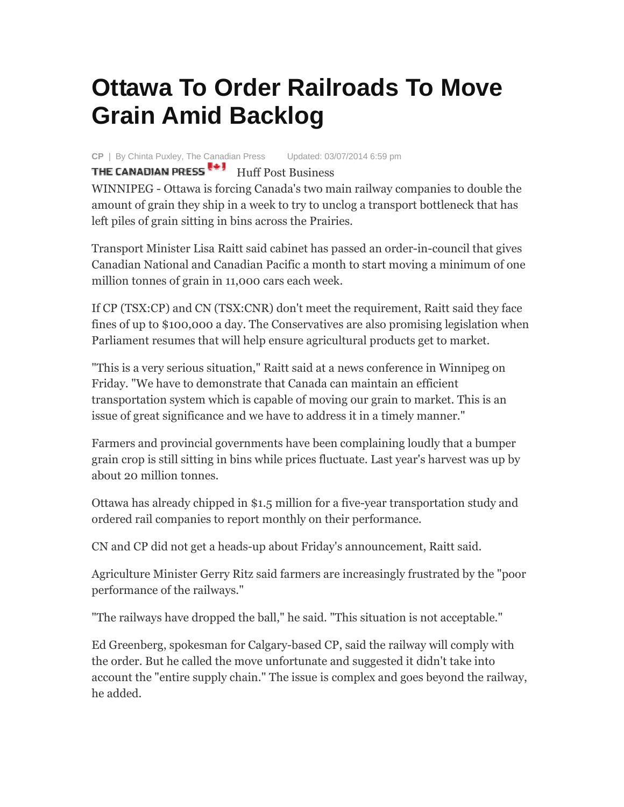## **Ottawa To Order Railroads To Move Grain Amid Backlog**

**CP** | By Chinta Puxley, The Canadian Press Updated: 03/07/2014 6:59 pm

THE CANADIAN PRESS **Fig. 3** Huff Post Business

WINNIPEG - Ottawa is forcing Canada's two main railway companies to double the amount of grain they ship in a week to try to unclog a transport bottleneck that has left piles of grain sitting in bins across the Prairies.

Transport Minister Lisa Raitt said cabinet has passed an order-in-council that gives Canadian National and Canadian Pacific a month to start moving a minimum of one million tonnes of grain in 11,000 cars each week.

If CP (TSX:CP) and CN (TSX:CNR) don't meet the requirement, Raitt said they face fines of up to \$100,000 a day. The Conservatives are also promising legislation when Parliament resumes that will help ensure agricultural products get to market.

"This is a very serious situation," Raitt said at a news conference in Winnipeg on Friday. "We have to demonstrate that Canada can maintain an efficient transportation system which is capable of moving our grain to market. This is an issue of great significance and we have to address it in a timely manner."

Farmers and provincial governments have been complaining loudly that a bumper grain crop is still sitting in bins while prices fluctuate. Last year's harvest was up by about 20 million tonnes.

Ottawa has already chipped in \$1.5 million for a five-year transportation study and ordered rail companies to report monthly on their performance.

CN and CP did not get a heads-up about Friday's announcement, Raitt said.

Agriculture Minister Gerry Ritz said farmers are increasingly frustrated by the "poor performance of the railways."

"The railways have dropped the ball," he said. "This situation is not acceptable."

Ed Greenberg, spokesman for Calgary-based CP, said the railway will comply with the order. But he called the move unfortunate and suggested it didn't take into account the "entire supply chain." The issue is complex and goes beyond the railway, he added.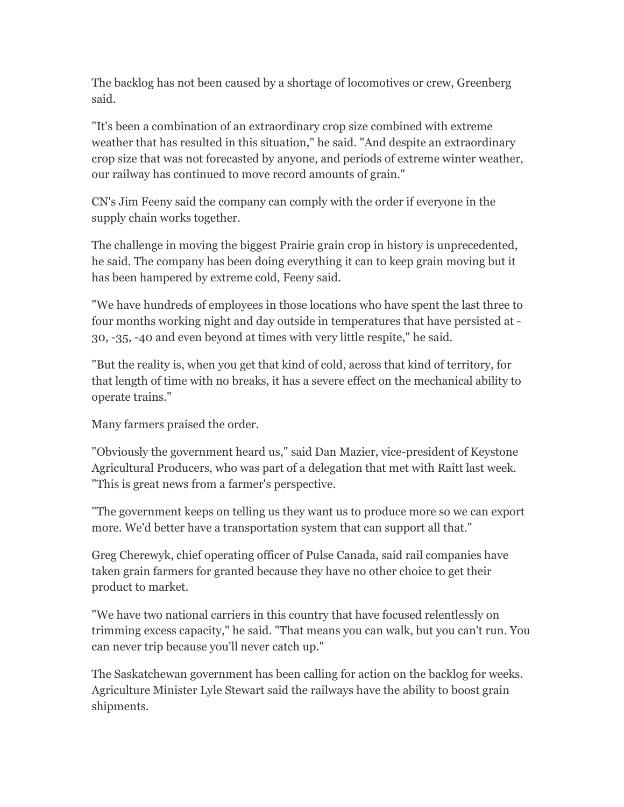The backlog has not been caused by a shortage of locomotives or crew, Greenberg said.

"It's been a combination of an extraordinary crop size combined with extreme weather that has resulted in this situation," he said. "And despite an extraordinary crop size that was not forecasted by anyone, and periods of extreme winter weather, our railway has continued to move record amounts of grain."

CN's Jim Feeny said the company can comply with the order if everyone in the supply chain works together.

The challenge in moving the biggest Prairie grain crop in history is unprecedented, he said. The company has been doing everything it can to keep grain moving but it has been hampered by extreme cold, Feeny said.

"We have hundreds of employees in those locations who have spent the last three to four months working night and day outside in temperatures that have persisted at - 30, -35, -40 and even beyond at times with very little respite," he said.

"But the reality is, when you get that kind of cold, across that kind of territory, for that length of time with no breaks, it has a severe effect on the mechanical ability to operate trains."

Many farmers praised the order.

"Obviously the government heard us," said Dan Mazier, vice-president of Keystone Agricultural Producers, who was part of a delegation that met with Raitt last week. "This is great news from a farmer's perspective.

"The government keeps on telling us they want us to produce more so we can export more. We'd better have a transportation system that can support all that."

Greg Cherewyk, chief operating officer of Pulse Canada, said rail companies have taken grain farmers for granted because they have no other choice to get their product to market.

"We have two national carriers in this country that have focused relentlessly on trimming excess capacity," he said. "That means you can walk, but you can't run. You can never trip because you'll never catch up."

The Saskatchewan government has been calling for action on the backlog for weeks. Agriculture Minister Lyle Stewart said the railways have the ability to boost grain shipments.